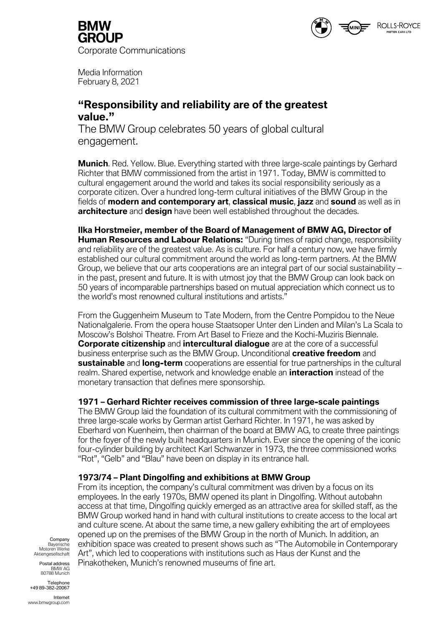

**GROUP** Corporate Communications

Media Information February 8, 2021

# **"Responsibility and reliability are of the greatest value."**

The BMW Group celebrates 50 years of global cultural engagement.

**Munich**. Red. Yellow. Blue. Everything started with three large-scale paintings by Gerhard Richter that BMW commissioned from the artist in 1971. Today, BMW is committed to cultural engagement around the world and takes its social responsibility seriously as a corporate citizen. Over a hundred long-term cultural initiatives of the BMW Group in the fields of **modern and contemporary art**, **classical music**, **jazz** and **sound** as well as in **architecture** and **design** have been well established throughout the decades.

**Ilka Horstmeier, member of the Board of Management of BMW AG, Director of Human Resources and Labour Relations:** "During times of rapid change, responsibility and reliability are of the greatest value. As is culture. For half a century now, we have firmly established our cultural commitment around the world as long-term partners. At the BMW Group, we believe that our arts cooperations are an integral part of our social sustainability – in the past, present and future. It is with utmost joy that the BMW Group can look back on 50 years of incomparable partnerships based on mutual appreciation which connect us to the world's most renowned cultural institutions and artists."

From the Guggenheim Museum to Tate Modern, from the Centre Pompidou to the Neue Nationalgalerie. From the opera house Staatsoper Unter den Linden and Milan's La Scala to Moscow's Bolshoi Theatre. From Art Basel to Frieze and the Kochi-Muziris Biennale. **Corporate citizenship** and **intercultural dialogue** are at the core of a successful business enterprise such as the BMW Group. Unconditional **creative freedom** and **sustainable** and **long-term** cooperations are essential for true partnerships in the cultural realm. Shared expertise, network and knowledge enable an **interaction** instead of the monetary transaction that defines mere sponsorship.

### **1971 – Gerhard Richter receives commission of three large-scale paintings**

The BMW Group laid the foundation of its cultural commitment with the commissioning of three large-scale works by German artist Gerhard Richter. In 1971, he was asked by Eberhard von Kuenheim, then chairman of the board at BMW AG, to create three paintings for the foyer of the newly built headquarters in Munich. Ever since the opening of the iconic four-cylinder building by architect Karl Schwanzer in 1973, the three commissioned works "Rot", "Gelb" and "Blau" have been on display in its entrance hall.

## **1973/74 – Plant Dingolfing and exhibitions at BMW Group**

From its inception, the company's cultural commitment was driven by a focus on its employees. In the early 1970s, BMW opened its plant in Dingolfing. Without autobahn access at that time, Dingolfing quickly emerged as an attractive area for skilled staff, as the BMW Group worked hand in hand with cultural institutions to create access to the local art and culture scene. At about the same time, a new gallery exhibiting the art of employees opened up on the premises of the BMW Group in the north of Munich. In addition, an exhibition space was created to present shows such as "The Automobile in Contemporary Art", which led to cooperations with institutions such as Haus der Kunst and the Pinakotheken, Munich's renowned museums of fine art.

Company Bayerische Motoren Werke Aktiengesellschaft

Postal address BMW AG 80788 Munich

Telephone +49 89-382-20067

Internet www.bmwgroup.com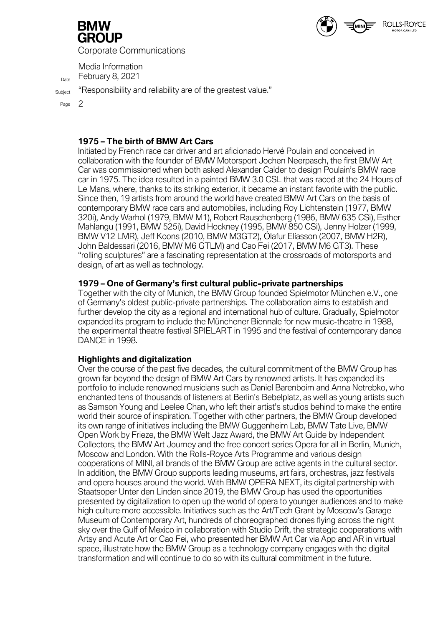

Corporate Communications

Media Information  $D_{\text{Date}}$  February 8, 2021

Subject "Responsibility and reliability are of the greatest value."

Page 2

#### **1975 – The birth of BMW Art Cars**

Initiated by French race car driver and art aficionado Hervé Poulain and conceived in collaboration with the founder of BMW Motorsport Jochen Neerpasch, the first BMW Art Car was commissioned when both asked Alexander Calder to design Poulain's BMW race car in 1975. The idea resulted in a painted BMW 3.0 CSL that was raced at the 24 Hours of Le Mans, where, thanks to its striking exterior, it became an instant favorite with the public. Since then, 19 artists from around the world have created BMW Art Cars on the basis of contemporary BMW race cars and automobiles, including Roy Lichtenstein (1977, BMW 320i), Andy Warhol (1979, BMW M1), Robert Rauschenberg (1986, BMW 635 CSi), Esther Mahlangu (1991, BMW 525i), David Hockney (1995, BMW 850 CSi), Jenny Holzer (1999, BMW V12 LMR), Jeff Koons (2010, BMW M3GT2), Ólafur Elíasson (2007, BMW H2R), John Baldessari (2016, BMW M6 GTLM) and Cao Fei (2017, BMW M6 GT3). These "rolling sculptures" are a fascinating representation at the crossroads of motorsports and design, of art as well as technology.

ROLLS-ROYCE

### **1979 – One of Germany's first cultural public-private partnerships**

Together with the city of Munich, the BMW Group founded Spielmotor München e.V., one of Germany's oldest public-private partnerships. The collaboration aims to establish and further develop the city as a regional and international hub of culture. Gradually, Spielmotor expanded its program to include the Münchener Biennale for new music-theatre in 1988, the experimental theatre festival SPIELART in 1995 and the festival of contemporary dance DANCE in 1998.

#### **Highlights and digitalization**

Over the course of the past five decades, the cultural commitment of the BMW Group has grown far beyond the design of BMW Art Cars by renowned artists. It has expanded its portfolio to include renowned musicians such as Daniel Barenboim and Anna Netrebko, who enchanted tens of thousands of listeners at Berlin's Bebelplatz, as well as young artists such as Samson Young and Leelee Chan, who left their artist's studios behind to make the entire world their source of inspiration. Together with other partners, the BMW Group developed its own range of initiatives including the BMW Guggenheim Lab, BMW Tate Live, BMW Open Work by Frieze, the BMW Welt Jazz Award, the BMW Art Guide by Independent Collectors, the BMW Art Journey and the free concert series Opera for all in Berlin, Munich, Moscow and London. With the Rolls-Royce Arts Programme and various design cooperations of MINI, all brands of the BMW Group are active agents in the cultural sector. In addition, the BMW Group supports leading museums, art fairs, orchestras, jazz festivals and opera houses around the world. With BMW OPERA NEXT, its digital partnership with Staatsoper Unter den Linden since 2019, the BMW Group has used the opportunities presented by digitalization to open up the world of opera to younger audiences and to make high culture more accessible. Initiatives such as the Art/Tech Grant by Moscow's Garage Museum of Contemporary Art, hundreds of choreographed drones flying across the night sky over the Gulf of Mexico in collaboration with Studio Drift, the strategic cooperations with Artsy and Acute Art or Cao Fei, who presented her BMW Art Car via App and AR in virtual space, illustrate how the BMW Group as a technology company engages with the digital transformation and will continue to do so with its cultural commitment in the future.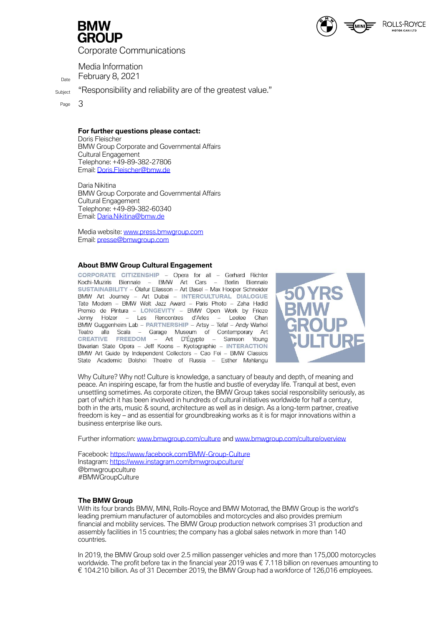

Corporate Communications

Media Information  $D_{\text{Date}}$  February 8, 2021

Subject "Responsibility and reliability are of the greatest value."

Page 3

**For further questions please contact:**

Doris Fleischer BMW Group Corporate and Governmental Affairs Cultural Engagement Telephone: +49-89-382-27806 Email: [Doris.Fleischer@bmw.de](mailto:Doris.Fleischer@bmw.de)

Daria Nikitina BMW Group Corporate and Governmental Affairs Cultural Engagement Telephone: +49-89-382-60340 Email: Daria.Nikitina@bmw.de

Media website: [www.press.bmwgroup.com](http://www.press.bmwgroup.com/) Email: [presse@bmwgroup.com](about:blank)

#### **About BMW Group Cultural Engagement**

CORPORATE CITIZENSHIP - Opera for all - Gerhard Richter Kochi-Muziris Biennale - BMW Art Cars - Berlin Biennale SUSTAINABILITY - Ólafur Elíasson - Art Basel - Max Hooper Schneider BMW Art Journey - Art Dubai - INTERCULTURAL DIALOGUE Tate Modern - BMW Welt Jazz Award - Paris Photo - Zaha Hadid Premio de Pintura - LONGEVITY - BMW Open Work by Frieze - Les Rencontres d'Arles - Leelee Jenny Holzer Chan BMW Guggenheim Lab - PARTNERSHIP - Artsy - Tefaf - Andy Warhol Teatro alla Scala - Garage Museum of Contemporary Art CREATIVE FREEDOM - Art D'Égypte - Samson Young<br>Bavarian State Opera - Jeff Koons - Kyotographie - INTERACTION BMW Art Guide by Independent Collectors - Cao Fei - BMW Classics State Academic Bolshoi Theatre of Russia - Esther Mahlangu



Why Culture? Why not! Culture is knowledge, a sanctuary of beauty and depth, of meaning and peace. An inspiring escape, far from the hustle and bustle of everyday life. Tranquil at best, even unsettling sometimes. As corporate citizen, the BMW Group takes social responsibility seriously, as part of which it has been involved in hundreds of cultural initiatives worldwide for half a century, both in the arts, music & sound, architecture as well as in design. As a long-term partner, creative freedom is key – and as essential for groundbreaking works as it is for major innovations within a business enterprise like ours.

Further information[: www.bmwgroup.com/culture](http://www.bmwgroup.com/culture) and [www.bmwgroup.com/culture/overview](https://www.bmwgroup.com/content/dam/grpw/websites/bmwgroup_com/responsibility/downloads/en/2019/BMW_Group_Kulturengagement_2019_EN.pdf)

Facebook:<https://www.facebook.com/BMW-Group-Culture> Instagram:<https://www.instagram.com/bmwgroupculture/> @bmwgroupculture #BMWGroupCulture

#### **The BMW Group**

With its four brands BMW, MINI, Rolls-Royce and BMW Motorrad, the BMW Group is the world's leading premium manufacturer of automobiles and motorcycles and also provides premium financial and mobility services. The BMW Group production network comprises 31 production and assembly facilities in 15 countries; the company has a global sales network in more than 140 countries.

In 2019, the BMW Group sold over 2.5 million passenger vehicles and more than 175,000 motorcycles worldwide. The profit before tax in the financial year 2019 was € 7.118 billion on revenues amounting to € 104.210 billion. As of 31 December 2019, the BMW Group had a workforce of 126,016 employees.